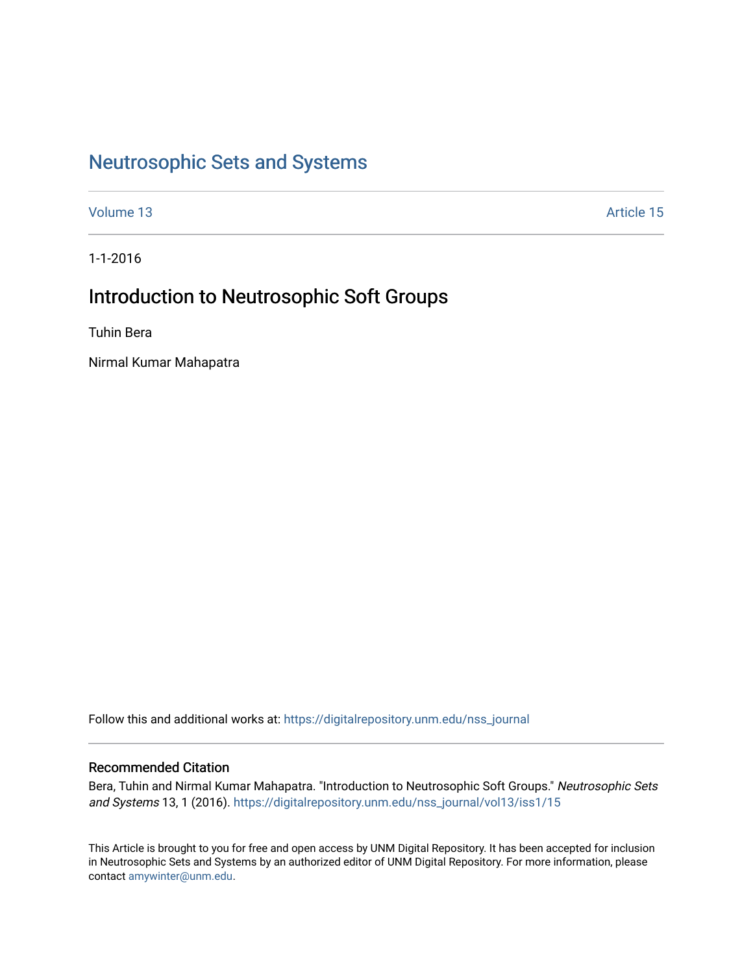# [Neutrosophic Sets and Systems](https://digitalrepository.unm.edu/nss_journal)

[Volume 13](https://digitalrepository.unm.edu/nss_journal/vol13) Article 15

1-1-2016

# Introduction to Neutrosophic Soft Groups

Tuhin Bera

Nirmal Kumar Mahapatra

Follow this and additional works at: [https://digitalrepository.unm.edu/nss\\_journal](https://digitalrepository.unm.edu/nss_journal?utm_source=digitalrepository.unm.edu%2Fnss_journal%2Fvol13%2Fiss1%2F15&utm_medium=PDF&utm_campaign=PDFCoverPages) 

## Recommended Citation

Bera, Tuhin and Nirmal Kumar Mahapatra. "Introduction to Neutrosophic Soft Groups." Neutrosophic Sets and Systems 13, 1 (2016). [https://digitalrepository.unm.edu/nss\\_journal/vol13/iss1/15](https://digitalrepository.unm.edu/nss_journal/vol13/iss1/15?utm_source=digitalrepository.unm.edu%2Fnss_journal%2Fvol13%2Fiss1%2F15&utm_medium=PDF&utm_campaign=PDFCoverPages)

This Article is brought to you for free and open access by UNM Digital Repository. It has been accepted for inclusion in Neutrosophic Sets and Systems by an authorized editor of UNM Digital Repository. For more information, please contact [amywinter@unm.edu](mailto:amywinter@unm.edu).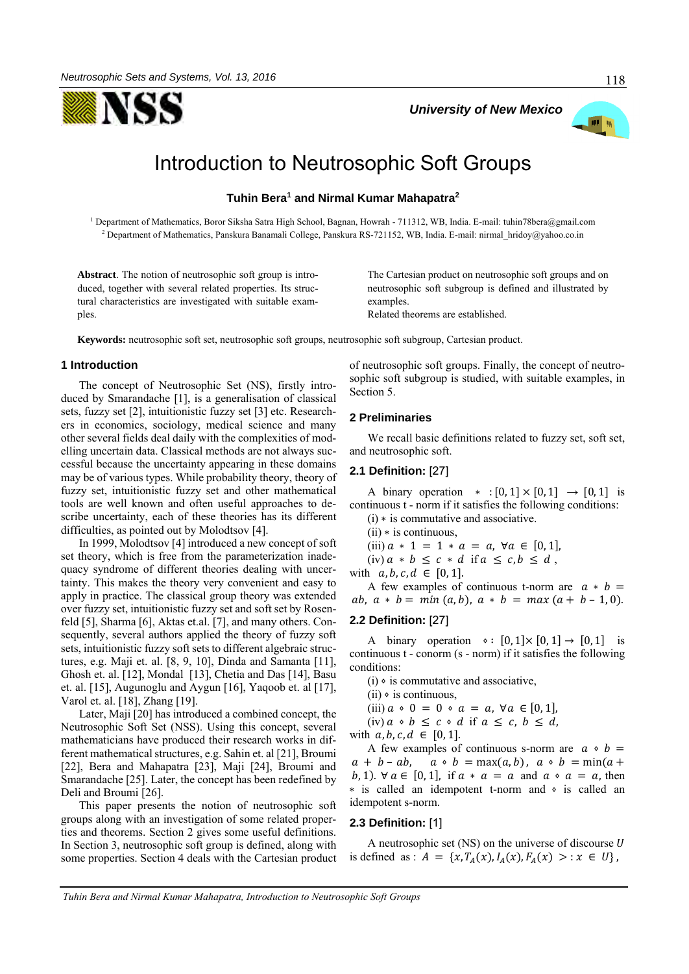



# Introduction to Neutrosophic Soft Groups

**Tuhin Bera<sup>1</sup> and Nirmal Kumar Mahapatra<sup>2</sup>**

<sup>1</sup> Department of Mathematics, Boror Siksha Satra High School, Bagnan, Howrah - 711312, WB, India. E-mail: tuhin78bera@gmail.com <sup>2</sup> Department of Mathematics, Panskura Banamali College, Panskura RS-721152, WB, India. E-mail: nirmal\_hridoy@yahoo.co.in

**Abstract**. The notion of neutrosophic soft group is introduced, together with several related properties. Its structural characteristics are investigated with suitable examples.

The Cartesian product on neutrosophic soft groups and on neutrosophic soft subgroup is defined and illustrated by examples. Related theorems are established.

*University of New Mexico*

**Keywords:** neutrosophic soft set, neutrosophic soft groups, neutrosophic soft subgroup, Cartesian product.

#### **1 Introduction**

The concept of Neutrosophic Set (NS), firstly introduced by Smarandache [1], is a generalisation of classical sets, fuzzy set [2], intuitionistic fuzzy set [3] etc. Researchers in economics, sociology, medical science and many other several fields deal daily with the complexities of modelling uncertain data. Classical methods are not always successful because the uncertainty appearing in these domains may be of various types. While probability theory, theory of fuzzy set, intuitionistic fuzzy set and other mathematical tools are well known and often useful approaches to describe uncertainty, each of these theories has its different difficulties, as pointed out by Molodtsov [4].

In 1999, Molodtsov [4] introduced a new concept of soft set theory, which is free from the parameterization inadequacy syndrome of different theories dealing with uncertainty. This makes the theory very convenient and easy to apply in practice. The classical group theory was extended over fuzzy set, intuitionistic fuzzy set and soft set by Rosenfeld [5], Sharma [6], Aktas et.al. [7], and many others. Consequently, several authors applied the theory of fuzzy soft sets, intuitionistic fuzzy soft sets to different algebraic structures, e.g. Maji et. al. [8, 9, 10], Dinda and Samanta [11], Ghosh et. al. [12], Mondal [13], Chetia and Das [14], Basu et. al. [15], Augunoglu and Aygun [16], Yaqoob et. al [17], Varol et. al. [18], Zhang [19].

Later, Maji [20] has introduced a combined concept, the Neutrosophic Soft Set (NSS). Using this concept, several mathematicians have produced their research works in different mathematical structures, e.g. Sahin et. al [21], Broumi [22], Bera and Mahapatra [23], Maji [24], Broumi and Smarandache [25]. Later, the concept has been redefined by Deli and Broumi [26].

This paper presents the notion of neutrosophic soft groups along with an investigation of some related properties and theorems. Section 2 gives some useful definitions. In Section 3, neutrosophic soft group is defined, along with some properties. Section 4 deals with the Cartesian product of neutrosophic soft groups. Finally, the concept of neutrosophic soft subgroup is studied, with suitable examples, in Section 5.

#### **2 Preliminaries**

We recall basic definitions related to fuzzy set, soft set, and neutrosophic soft.

#### **2.1 Definition:** [27]

A binary operation  $\ast : [0,1] \times [0,1] \rightarrow [0,1]$  is continuous t - norm if it satisfies the following conditions: (i) ∗ is commutative and associative.

- $(ii)$  \* is continuous,
- (iii)  $a * 1 = 1 * a = a, \forall a \in [0, 1],$
- (iv)  $a * b \leq c * d$  if  $a \leq c, b \leq d$ ,
- with  $a, b, c, d \in [0, 1].$

A few examples of continuous t-norm are  $a * b =$ ab,  $a * b = min(a, b)$ ,  $a * b = max(a + b - 1, 0)$ .

## **2.2 Definition:** [27]

A binary operation  $\circ : [0,1] \times [0,1] \rightarrow [0,1]$  is continuous t - conorm (s - norm) if it satisfies the following conditions:

 $(i)$   $\circ$  is commutative and associative,

- $(ii)$   $\circ$  is continuous,
- (iii)  $a \cdot 0 = 0 \cdot a = a, \forall a \in [0, 1],$ (iv)  $a \cdot b \leq c \cdot d$  if  $a \leq c$ ,  $b \leq d$ ,

with  $a, b, c, d \in [0, 1].$ 

A few examples of continuous s-norm are  $a \circ b =$  $a + b - ab$ ,  $a \circ b = \max(a, b)$ ,  $a \circ b = \min(a + b)$ b, 1).  $\forall a \in [0,1]$ , if  $a * a = a$  and  $a * a = a$ , then ∗ is called an idempotent t-norm and ⋄ is called an idempotent s-norm.

#### **2.3 Definition:** [1]

A neutrosophic set  $(NS)$  on the universe of discourse U is defined as :  $A = \{x, T_A(x), I_A(x), F_A(x) > : x \in U\},$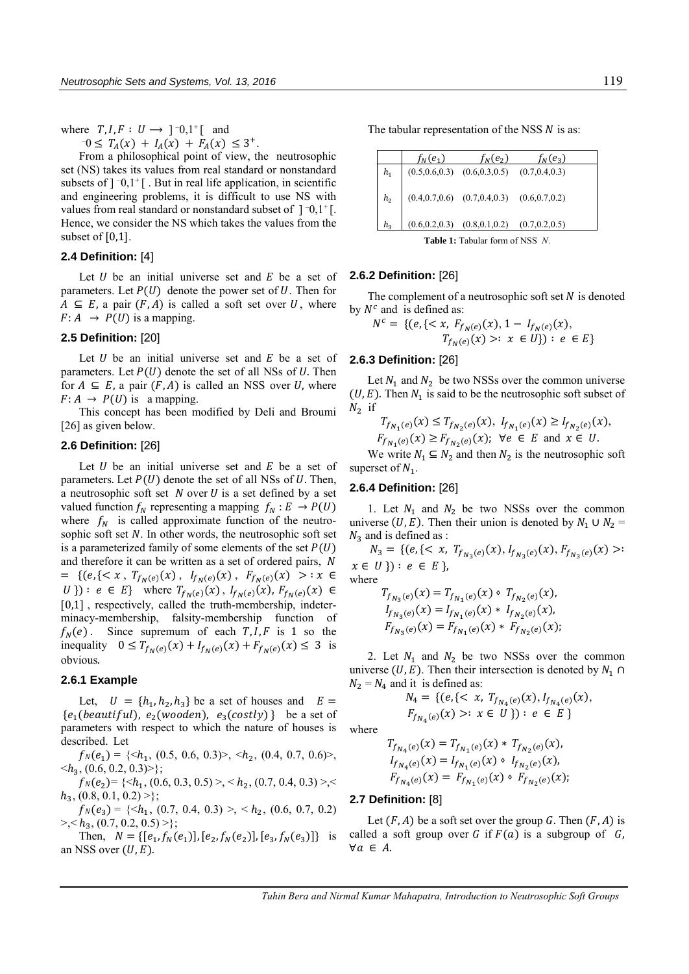where  $T, I, F: U \rightarrow ]0,1^{\dagger} [$  and

 $T_0 \leq T_A(x) + I_A(x) + F_A(x) \leq 3^+.$ 

From a philosophical point of view, the neutrosophic set (NS) takes its values from real standard or nonstandard subsets of  $]$   $[0,1]$ <sup>+</sup>[. But in real life application, in scientific and engineering problems, it is difficult to use NS with values from real standard or nonstandard subset of  $]$   $\bar{0}$ ,  $1$ <sup> $+$ </sup>[. Hence, we consider the NS which takes the values from the subset of [0,1].

#### **2.4 Definition:** [4]

Let  $U$  be an initial universe set and  $E$  be a set of parameters. Let  $P(U)$  denote the power set of U. Then for  $A \subseteq E$ , a pair  $(F, A)$  is called a soft set over U, where  $F: A \rightarrow P(U)$  is a mapping.

## **2.5 Definition:** [20]

Let  $U$  be an initial universe set and  $E$  be a set of parameters. Let  $P(U)$  denote the set of all NSs of U. Then for  $A \subseteq E$ , a pair  $(F, A)$  is called an NSS over U, where  $F: A \rightarrow P(U)$  is a mapping.

This concept has been modified by Deli and Broumi [26] as given below.

#### **2.6 Definition:** [26]

Let  $U$  be an initial universe set and  $E$  be a set of parameters. Let  $P(U)$  denote the set of all NSs of U. Then, a neutrosophic soft set  $N$  over  $U$  is a set defined by a set valued function  $f_N$  representing a mapping  $f_N : E \to P(U)$ where  $f_N$  is called approximate function of the neutrosophic soft set  $N$ . In other words, the neutrosophic soft set is a parameterized family of some elements of the set  $P(U)$ and therefore it can be written as a set of ordered pairs, = { $(e, \{< x , T_{f_N(e)}(x) , I_{f_N(e)}(x) , F_{f_N(e)}(x) > : x \in$ *U*}) : *e* ∈ *E*} where  $T_{f_N(e)}(x)$ ,  $I_{f_N(e)}(x)$ ,  $F_{f_N(e)}(x)$  ∈ [0,1], respectively, called the truth-membership, indeterminacy-membership, falsity-membership function of  $f_N(e)$ . Since supremum of each  $T, I, F$  is 1 so the inequality  $0 \le T_{f_N(e)}(x) + I_{f_N(e)}(x) + F_{f_N(e)}(x) \le 3$  is obvious.

#### **2.6.1 Example**

Let,  $U = \{h_1, h_2, h_3\}$  be a set of houses and  $E =$  ${e_1(beautiful)}$ ,  ${e_2(wooden)}$ ,  ${e_3(costly)}$  be a set of parameters with respect to which the nature of houses is described. Let

 $f_N(e_1) = \{ \langle h_1, (0.5, 0.6, 0.3) \rangle, \langle h_2, (0.4, 0.7, 0.6) \rangle,$  $\langle h_3, (0.6, 0.2, 0.3) \rangle;$ 

 $f_N(e_2) = \{ \le h_1, (0.6, 0.3, 0.5) > \}, \le h_2, (0.7, 0.4, 0.3) > \}$  $h_3$ ,  $(0.8, 0.1, 0.2)$  >};

 $f_N(e_3) = \{ \langle h_1, (0.7, 0.4, 0.3) \rangle, \langle h_2, (0.6, 0.7, 0.2) \rangle \}$  $\{>, \};$ 

Then,  $N = \{ [e_1, f_N(e_1)], [e_2, f_N(e_2)], [e_3, f_N(e_3)] \}$  is an NSS over  $(U, E)$ .

The tabular representation of the NSS  *is as:* 

|                                           | $f_N(e_1)$                                      | $f_N(e_2)$                                            | $f_N(e_3)$ |
|-------------------------------------------|-------------------------------------------------|-------------------------------------------------------|------------|
| $h_1$                                     |                                                 | $(0.5, 0.6, 0.3)$ $(0.6, 0.3, 0.5)$ $(0.7, 0.4, 0.3)$ |            |
|                                           | $h_2$ (0.4,0.7,0.6) (0.7,0.4,0.3) (0.6,0.7,0.2) |                                                       |            |
| $h_{\rm{2}}$                              |                                                 | $(0.6, 0.2, 0.3)$ $(0.8, 0.1, 0.2)$ $(0.7, 0.2, 0.5)$ |            |
| <b>Table 1:</b> Tabular form of NSS $N$ . |                                                 |                                                       |            |

#### **2.6.2 Definition:** [26]

The complement of a neutrosophic soft set  $N$  is denoted by  $N^c$  and is defined as:

$$
N^{c} = \{ (e, \{ < x, F_{f_{N}(e)}(x), 1 - I_{f_{N}(e)}(x), \\ T_{f_{N}(e)}(x) >: x \in U \}) : e \in E \}
$$

#### **2.6.3 Definition:** [26]

Let  $N_1$  and  $N_2$  be two NSSs over the common universe  $(U, E)$ . Then  $N_1$  is said to be the neutrosophic soft subset of  $N_2$  if

$$
T_{f_{N_1}(e)}(x) \le T_{f_{N_2}(e)}(x), \ I_{f_{N_1}(e)}(x) \ge I_{f_{N_2}(e)}(x),
$$
  

$$
F_{f_{N_1}(e)}(x) \ge F_{f_{N_2}(e)}(x); \ \forall e \in E \text{ and } x \in U.
$$

We write  $N_1 \subseteq N_2$  and then  $N_2$  is the neutrosophic soft superset of  $N_1$ .

## **2.6.4 Definition:** [26]

1. Let  $N_1$  and  $N_2$  be two NSSs over the common universe (U, E). Then their union is denoted by  $N_1 \cup N_2 =$  $N_3$  and is defined as :

 $N_3 = \{ (e, \{<\x, T_{f_{N_3}(e)}(x), I_{f_{N_3}(e)}(x), F_{f_{N_3}(e)}(x))\}.$  $x \in U$ }):  $e \in E$ }, where

$$
T_{f_{N_3}(e)}(x) = T_{f_{N_1}(e)}(x) \circ T_{f_{N_2}(e)}(x),
$$
  
\n
$$
I_{f_{N_3}(e)}(x) = I_{f_{N_1}(e)}(x) * I_{f_{N_2}(e)}(x),
$$
  
\n
$$
F_{f_{N_3}(e)}(x) = F_{f_{N_1}(e)}(x) * F_{f_{N_2}(e)}(x);
$$

2. Let  $N_1$  and  $N_2$  be two NSSs over the common universe (U, E). Then their intersection is denoted by  $N_1 \cap$  $N_2 = N_4$  and it is defined as:

$$
N_4 = \{ (e, \{ < x, T_{f_{N_4}(e)}(x), I_{f_{N_4}(e)}(x), \\ F_{f_{N_4}(e)}(x) > : x \in U \} ) : e \in E \}
$$

where

$$
T_{f_{N_4}(e)}(x) = T_{f_{N_1}(e)}(x) * T_{f_{N_2}(e)}(x),
$$
  
\n
$$
I_{f_{N_4}(e)}(x) = I_{f_{N_1}(e)}(x) \circ I_{f_{N_2}(e)}(x),
$$
  
\n
$$
F_{f_{N_4}(e)}(x) = F_{f_{N_1}(e)}(x) \circ F_{f_{N_2}(e)}(x);
$$

#### **2.7 Definition:** [8]

Let  $(F, A)$  be a soft set over the group G. Then  $(F, A)$  is called a soft group over G if  $F(a)$  is a subgroup of G,  $\forall a \in A$ .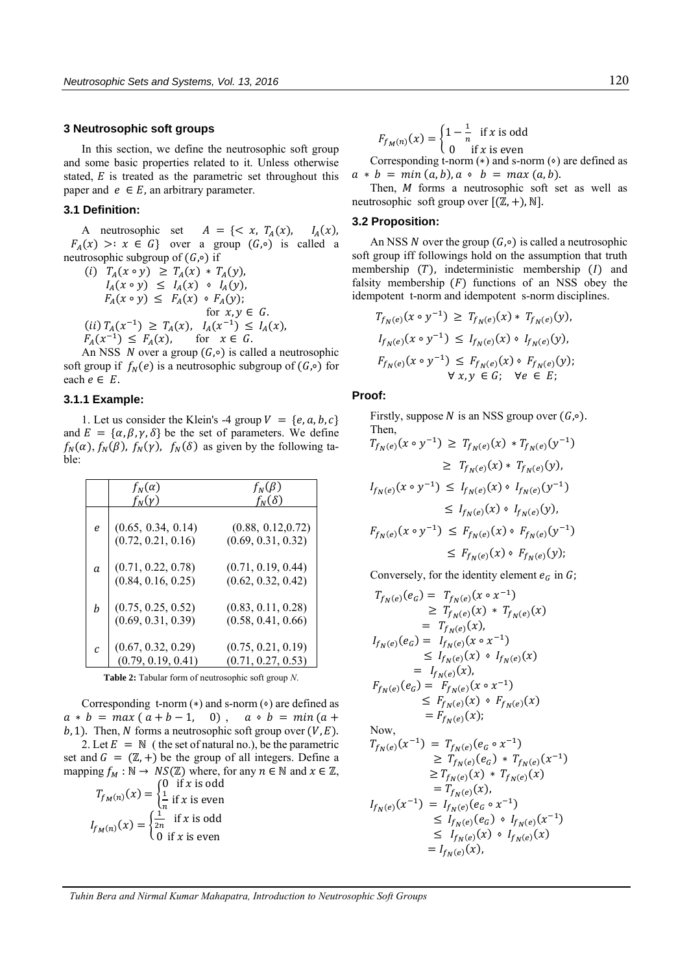#### **3 Neutrosophic soft groups**

In this section, we define the neutrosophic soft group and some basic properties related to it. Unless otherwise stated,  $E$  is treated as the parametric set throughout this paper and  $e \in E$ , an arbitrary parameter.

## **3.1 Definition:**

A neutrosophic set  $A = \{ \langle x, T_A(x), \rangle \}$  $I_A(x)$ ,  $F_A(x)$  >:  $x \in G$ } over a group  $(G, \circ)$  is called a neutrosophic subgroup of  $(G, ∘)$  if

(i) 
$$
T_A(x \circ y) \ge T_A(x) * T_A(y)
$$
,  
\n $I_A(x \circ y) \le I_A(x) \circ I_A(y)$ ,  
\n $F_A(x \circ y) \le F_A(x) \circ F_A(y)$ ;  
\nfor  $x, y \in G$ .  
\n(ii)  $T_A(x^{-1}) \ge T_A(x)$ ,  $I_A(x^{-1}) \le I_A(x)$ ,  
\n $F_A(x^{-1}) \le F_A(x)$ , for  $x \in G$ .

An NSS *N* over a group  $(G, \circ)$  is called a neutrosophic soft group if  $f_N(e)$  is a neutrosophic subgroup of  $(G, \circ)$  for each  $e \in E$ .

## **3.1.1 Example:**

1. Let us consider the Klein's -4 group  $V = \{e, a, b, c\}$ and  $E = {\alpha, \beta, \gamma, \delta}$  be the set of parameters. We define  $f_N(\alpha)$ ,  $f_N(\beta)$ ,  $f_N(\gamma)$ ,  $f_N(\delta)$  as given by the following table:

|    | $f_N(\alpha)$<br>$f_N(\gamma)$               | $f_N(\beta)$<br>$f_N(\delta)$            |
|----|----------------------------------------------|------------------------------------------|
| e  | $(0.65, 0.34, 0.14)$<br>$(0.72, 0.21, 0.16)$ | (0.88, 0.12, 0.72)<br>(0.69, 0.31, 0.32) |
| a  | $(0.71, 0.22, 0.78)$<br>$(0.84, 0.16, 0.25)$ | (0.71, 0.19, 0.44)<br>(0.62, 0.32, 0.42) |
| h  | $(0.75, 0.25, 0.52)$<br>$(0.69, 0.31, 0.39)$ | (0.83, 0.11, 0.28)<br>(0.58, 0.41, 0.66) |
| C. | $(0.67, 0.32, 0.29)$<br>$(0.79, 0.19, 0.41)$ | (0.75, 0.21, 0.19)<br>(0.71, 0.27, 0.53) |

**Table 2:** Tabular form of neutrosophic soft group *N*.

Corresponding t-norm  $(*)$  and s-norm  $(*)$  are defined as  $a * b = max(a + b - 1, 0)$ ,  $a * b = min(a + b)$  $b, 1$ ). Then, N forms a neutrosophic soft group over  $(V, E)$ . 2. Let  $E = N$  (the set of natural no.), be the parametric set and  $G = (\mathbb{Z}, +)$  be the group of all integers. Define a

mapping  $f_M : \mathbb{N} \to NS(\mathbb{Z})$  where, for any  $n \in \mathbb{N}$  and  $x \in \mathbb{Z}$ , 0 if *x* is odd<br> $\frac{1}{n}$  if *x* is even

$$
T_{f_M(n)}(x) = \begin{cases} \frac{1}{n} & \text{if } x \text{ is even} \\ \frac{1}{2n} & \text{if } x \text{ is odd} \end{cases}
$$

$$
I_{f_M(n)}(x) = \begin{cases} \frac{1}{2n} & \text{if } x \text{ is odd} \\ 0 & \text{if } x \text{ is even} \end{cases}
$$

$$
F_{f_M(n)}(x) = \begin{cases} 1 - \frac{1}{n} & \text{if } x \text{ is odd} \\ 0 & \text{if } x \text{ is even} \end{cases}
$$

Corresponding t-norm  $(*)$  and s-norm  $(*)$  are defined as  $a * b = min(a, b), a * b = max(a, b).$ 

Then,  $M$  forms a neutrosophic soft set as well as neutrosophic soft group over  $[(\mathbb{Z}, +), \mathbb{N}].$ 

## **3.2 Proposition:**

An NSS N over the group  $(G, \circ)$  is called a neutrosophic soft group iff followings hold on the assumption that truth membership  $(T)$ , indeterministic membership  $(I)$  and falsity membership  $(F)$  functions of an NSS obey the idempotent t-norm and idempotent s-norm disciplines.

$$
T_{f_N(e)}(x \circ y^{-1}) \geq T_{f_N(e)}(x) * T_{f_N(e)}(y),
$$
  
\n
$$
I_{f_N(e)}(x \circ y^{-1}) \leq I_{f_N(e)}(x) \circ I_{f_N(e)}(y),
$$
  
\n
$$
F_{f_N(e)}(x \circ y^{-1}) \leq F_{f_N(e)}(x) \circ F_{f_N(e)}(y);
$$
  
\n
$$
\forall x, y \in G; \forall e \in E;
$$

#### **Proof:**

Firstly, suppose *N* is an NSS group over  $(G, \circ)$ . Then,

$$
T_{f_N(e)}(x \circ y^{-1}) \geq T_{f_N(e)}(x) * T_{f_N(e)}(y^{-1})
$$
  
\n
$$
\geq T_{f_N(e)}(x) * T_{f_N(e)}(y),
$$
  
\n
$$
I_{f_N(e)}(x \circ y^{-1}) \leq I_{f_N(e)}(x) \circ I_{f_N(e)}(y^{-1})
$$
  
\n
$$
\leq I_{f_N(e)}(x) \circ I_{f_N(e)}(y),
$$
  
\n
$$
F_{f_N(e)}(x \circ y^{-1}) \leq F_{f_N(e)}(x) \circ F_{f_N(e)}(y^{-1})
$$
  
\n
$$
\leq F_{f_N(e)}(x) \circ F_{f_N(e)}(y);
$$

Conversely, for the identity element  $e_G$  in  $G$ ;

$$
T_{f_N(e)}(e_G) = T_{f_N(e)}(x \circ x^{-1})
$$
  
\n
$$
\geq T_{f_N(e)}(x) * T_{f_N(e)}(x)
$$
  
\n
$$
= T_{f_N(e)}(x),
$$
  
\n
$$
I_{f_N(e)}(e_G) = I_{f_N(e)}(x \circ x^{-1})
$$
  
\n
$$
\leq I_{f_N(e)}(x) \circ I_{f_N(e)}(x)
$$
  
\n
$$
= I_{f_N(e)}(x),
$$
  
\n
$$
F_{f_N(e)}(e_G) = F_{f_N(e)}(x \circ x^{-1})
$$
  
\n
$$
\leq F_{f_N(e)}(x) \circ F_{f_N(e)}(x)
$$
  
\n
$$
= F_{f_N(e)}(x);
$$
  
\nNow,  
\n
$$
T_{f_N(e)}(x^{-1}) = T_{f_N(e)}(e \circ x^{-1})
$$

$$
T_{f_N(e)}(x^{-1}) = T_{f_N(e)}(e_G \circ x^{-1})
$$
  
\n
$$
\geq T_{f_N(e)}(e_G) * T_{f_N(e)}(x^{-1})
$$
  
\n
$$
\geq T_{f_N(e)}(x) * T_{f_N(e)}(x)
$$
  
\n
$$
= T_{f_N(e)}(x),
$$
  
\n
$$
I_{f_N(e)}(x^{-1}) = I_{f_N(e)}(e_G \circ x^{-1})
$$
  
\n
$$
\leq I_{f_N(e)}(e_G) \circ I_{f_N(e)}(x^{-1})
$$
  
\n
$$
\leq I_{f_N(e)}(x) \circ I_{f_N(e)}(x)
$$
  
\n
$$
= I_{f_N(e)}(x),
$$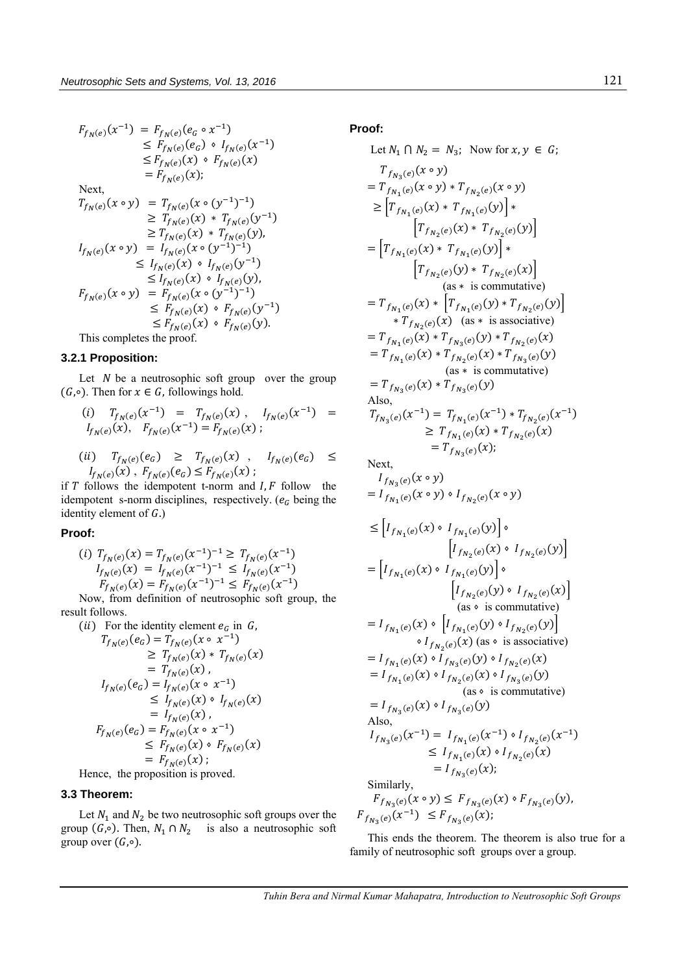$$
F_{f_N(e)}(x^{-1}) = F_{f_N(e)}(e_G \circ x^{-1})
$$
  
\n
$$
\leq F_{f_N(e)}(e_G) \circ I_{f_N(e)}(x^{-1})
$$
  
\n
$$
\leq F_{f_N(e)}(x) \circ F_{f_N(e)}(x)
$$
  
\n
$$
= F_{f_N(e)}(x);
$$
  
\nNext,  
\n
$$
T_{f_N(e)}(x \circ y) = T_{f_N(e)}(x \circ (y^{-1})^{-1})
$$
  
\n
$$
\geq T_{f_N(e)}(x) * T_{f_N(e)}(y^{-1})
$$
  
\n
$$
I_{f_N(e)}(x \circ y) = I_{f_N(e)}(x \circ (y^{-1})^{-1})
$$
  
\n
$$
\leq I_{f_N(e)}(x) \circ I_{f_N(e)}(y^{-1})
$$
  
\n
$$
\leq I_{f_N(e)}(x) \circ I_{f_N(e)}(y^{-1})
$$
  
\n
$$
F_{f_N(e)}(x \circ y) = F_{f_N(e)}(x \circ (y^{-1})^{-1})
$$
  
\n
$$
\leq F_{f_N(e)}(x) \circ F_{f_N(e)}(y^{-1})
$$
  
\n
$$
\leq F_{f_N(e)}(x) \circ F_{f_N(e)}(y^{-1})
$$
  
\nThis completes the proof.

## **3.2.1 Proposition:**

Let  $N$  be a neutrosophic soft group over the group  $(G, ∘)$ . Then for  $x ∈ G$ , followings hold.

$$
(i) T_{f_N(e)}(x^{-1}) = T_{f_N(e)}(x), I_{f_N(e)}(x^{-1}) =
$$
  

$$
I_{f_N(e)}(x), F_{f_N(e)}(x^{-1}) = F_{f_N(e)}(x);
$$

$$
(ii) \tT_{f_N(e)}(e_G) \geq T_{f_N(e)}(x) , \tI_{f_N(e)}(e_G) \leq
$$
  

$$
I_{f_N(e)}(x) , F_{f_N(e)}(e_G) \leq F_{f_N(e)}(x) ;
$$

if  $T$  follows the idempotent t-norm and  $I, F$  follow the idempotent s-norm disciplines, respectively.  $(e_G$  being the identity element of  $G$ .)

## **Proof:**

$$
(i) T_{f_N(e)}(x) = T_{f_N(e)}(x^{-1})^{-1} \ge T_{f_N(e)}(x^{-1})
$$
  
\n
$$
I_{f_N(e)}(x) = I_{f_N(e)}(x^{-1})^{-1} \le I_{f_N(e)}(x^{-1})
$$
  
\n
$$
F_{f_N(e)}(x) = F_{f_N(e)}(x^{-1})^{-1} \le F_{f_N(e)}(x^{-1})
$$

Now, from definition of neutrosophic soft group, the result follows.

(*ii*) For the identity element  $e_G$  in  $G$ ,  $T_{f_N(e)}(e_G) = T_{f_N(e)}(x \circ x^{-1})$ 

$$
\geq T_{f_N(e)}(x) * T_{f_N(e)}(x)
$$
\n
$$
= T_{f_N(e)}(x),
$$
\n
$$
I_{f_N(e)}(e_G) = I_{f_N(e)}(x \circ x^{-1})
$$
\n
$$
\leq I_{f_N(e)}(x) \circ I_{f_N(e)}(x)
$$
\n
$$
= I_{f_N(e)}(x),
$$
\n
$$
F_{f_N(e)}(e_G) = F_{f_N(e)}(x \circ x^{-1})
$$
\n
$$
\leq F_{f_N(e)}(x) \circ F_{f_N(e)}(x)
$$
\n
$$
= F_{f_N(e)}(x);
$$

Hence, the proposition is proved.

## **3.3 Theorem:**

Let  $N_1$  and  $N_2$  be two neutrosophic soft groups over the group  $(G, \circ)$ . Then,  $N_1 \cap N_2$  is also a neutrosophic soft group over  $(G, ∘).$ 

## **Proof:**

Let 
$$
N_1 \cap N_2 = N_3
$$
; Now for  $x, y \in G$ ;  
\n $T_{f_{N_3}(e)}(x \circ y)$   
\n $= T_{f_{N_1}(e)}(x \circ y) * T_{f_{N_2}(e)}(x \circ y)$   
\n $\ge [T_{f_{N_1}(e)}(x) * T_{f_{N_1}(e)}(y)] *$   
\n $[T_{f_{N_2}(e)}(x) * T_{f_{N_2}(e)}(y)] *$   
\n $[T_{f_{N_2}(e)}(x) * T_{f_{N_2}(e)}(x)]$   
\n $= T_{f_{N_1}(e)}(x) * T_{f_{N_2}(e)}(x)]$   
\n(as \* is commutative)  
\n $= T_{f_{N_1}(e)}(x) * [T_{f_{N_1}(e)}(y) * T_{f_{N_2}(e)}(y)] * T_{f_{N_2}(e)}(y)$   
\n $= T_{f_{N_1}(e)}(x) * T_{f_{N_3}(e)}(y) * T_{f_{N_2}(e)}(x)$   
\n $= T_{f_{N_1}(e)}(x) * T_{f_{N_3}(e)}(y) * T_{f_{N_2}(e)}(y)$   
\n(as \* is commutative)  
\n $= T_{f_{N_3}(e)}(x) * T_{f_{N_3}(e)}(y)$   
\nAlso,  
\n $T_{f_{N_3}(e)}(x^{-1}) = T_{f_{N_1}(e)}(x^{-1}) * T_{f_{N_2}(e)}(x^{-1})$   
\n $\ge T_{f_{N_1}(e)}(x) * T_{f_{N_2}(e)}(x)$   
\n $= T_{f_{N_3}(e)}(x) * T_{f_{N_2}(e)}(x)$   
\n $= T_{f_{N_3}(e)}(x \circ y)$   
\n $= I_{f_{N_1}(e)}(x \circ y) \circ I_{f_{N_2}(e)}(x \circ y)$   
\n $\le [I_{f_{N_1}(e)}(x) \circ I_{f_{N_1}(e)}(y)] \circ$   
\n $= [I_{f_{N_1}(e)}(x) \circ I_{f_{N_1}(e)}(y)] \circ$   
\n $= I_{f_{N_1}(e)}(x) \circ I_{f$ 

This ends the theorem. The theorem is also true for a family of neutrosophic soft groups over a group.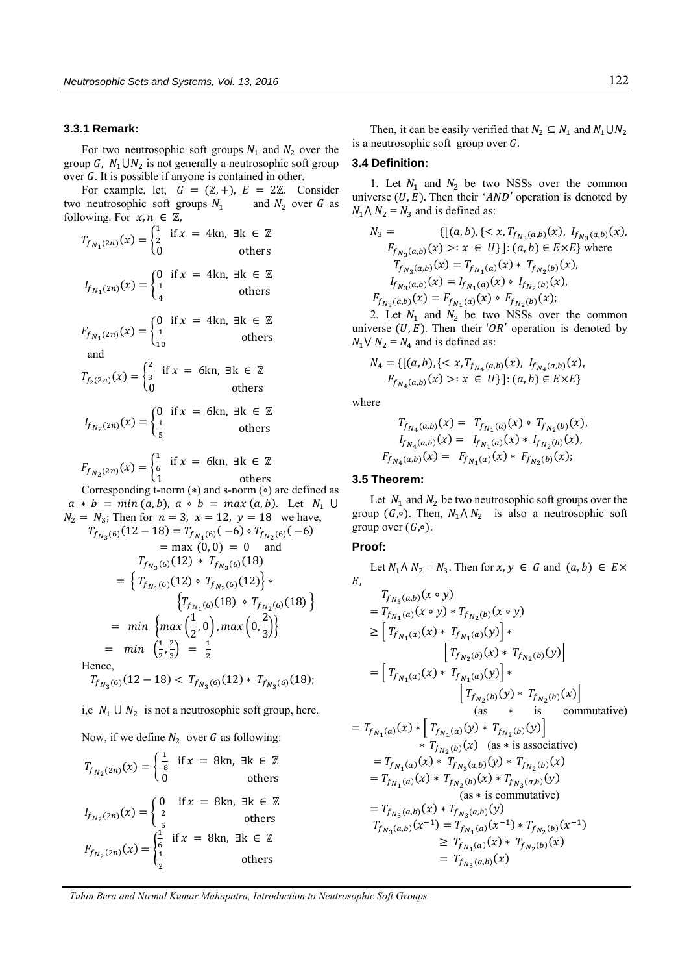#### **3.3.1 Remark:**

For two neutrosophic soft groups  $N_1$  and  $N_2$  over the group G,  $N_1 \cup N_2$  is not generally a neutrosophic soft group over  $G$ . It is possible if anyone is contained in other.

For example, let,  $G = (\mathbb{Z}, +)$ ,  $E = 2\mathbb{Z}$ . Consider two neutrosophic soft groups  $N_1$ and  $N_2$  over G as following. For  $x, n \in \mathbb{Z}$ ,

$$
T_{f_{N_1}(2n)}(x) = \begin{cases} \frac{1}{2} & \text{if } x = 4\text{kn, } \exists \text{k} \in \mathbb{Z} \\ 0 & \text{others} \end{cases}
$$
  
\n
$$
I_{f_{N_1}(2n)}(x) = \begin{cases} 0 & \text{if } x = 4\text{kn, } \exists \text{k} \in \mathbb{Z} \\ \frac{1}{4} & \text{others} \end{cases}
$$
  
\n
$$
F_{f_{N_1}(2n)}(x) = \begin{cases} 0 & \text{if } x = 4\text{kn, } \exists \text{k} \in \mathbb{Z} \\ \frac{1}{10} & \text{others} \end{cases}
$$
  
\nand  
\n
$$
T_{f_{2}(2n)}(x) = \begin{cases} \frac{2}{3} & \text{if } x = 6\text{kn, } \exists \text{k} \in \mathbb{Z} \\ \frac{1}{5} & \text{others} \end{cases}
$$
  
\n
$$
I_{f_{N_2}(2n)}(x) = \begin{cases} 0 & \text{if } x = 6\text{kn, } \exists \text{k} \in \mathbb{Z} \\ \frac{1}{5} & \text{others} \end{cases}
$$
  
\n
$$
F_{f_{N_2}(2n)}(x) = \begin{cases} \frac{1}{2} & \text{if } x = 6\text{kn, } \exists \text{k} \in \mathbb{Z} \end{cases}
$$

$$
F_{f_{N_2}(2n)}(x) = \begin{cases} \frac{1}{6} & \text{if } x = 6 \text{kn, } \exists \text{k} \in \mathbb{Z} \\ 1 & \text{others} \end{cases}
$$

Corresponding t-norm  $(*)$  and s-norm  $(*)$  are defined as  $a * b = min(a, b), a * b = max(a, b).$  Let  $N_1 \cup$  $N_2 = N_3$ ; Then for  $n = 3$ ,  $x = 12$ ,  $y = 18$  we have,  $T_{f_{N_3}(6)}(12-18) = T_{f_{N_1}(6)}(-6) \cdot T_{f_{N_2}(6)}(-6)$  $=$  max  $(0, 0) = 0$  and  $T_{f_{N_3}(6)}(12) * T_{f_{N_3}(6)}(18)$  $= \left\{ T_{f_{N_1}(6)}(12) \cdot T_{f_{N_2}(6)}(12) \right\} *$  $\left\{T_{f_{N_1}(6)}(18) \cdot T_{f_{N_2}(6)}(18)\right\}$  $=$  min  $\{\max\left(\frac{1}{2}\right)\}$  $\left(\frac{1}{2},0\right)$ , max $\left(0,\frac{2}{3}\right)$  $\frac{1}{3}$  $=$   $min$   $\left(\frac{1}{2}\right)$  $\frac{1}{2}$ ,  $\frac{2}{3}$  $\frac{2}{3}$  =  $\frac{1}{2}$ 2 Hence,

$$
T_{f_{N_3}(6)}(12-18) < T_{f_{N_3}(6)}(12) \cdot T_{f_{N_3}(6)}(18);
$$

i,e  $N_1 \cup N_2$  is not a neutrosophic soft group, here.

Now, if we define  $N_2$  over G as following:

$$
T_{f_{N_2}(2n)}(x) = \begin{cases} \frac{1}{8} & \text{if } x = 8\text{kn}, \exists \text{k} \in \mathbb{Z} \\ 0 & \text{others} \end{cases}
$$
\n
$$
I_{f_{N_2}(2n)}(x) = \begin{cases} 0 & \text{if } x = 8\text{kn}, \exists \text{k} \in \mathbb{Z} \\ \frac{2}{5} & \text{others} \end{cases}
$$
\n
$$
F_{f_{N_2}(2n)}(x) = \begin{cases} \frac{1}{6} & \text{if } x = 8\text{kn}, \exists \text{k} \in \mathbb{Z} \\ \frac{1}{2} & \text{others} \end{cases}
$$

Then, it can be easily verified that  $N_2 \subseteq N_1$  and  $N_1 \cup N_2$ is a neutrosophic soft group over  $G$ .

## **3.4 Definition:**

1. Let  $N_1$  and  $N_2$  be two NSSs over the common universe  $(U, E)$ . Then their 'AND' operation is denoted by  $N_1 \Lambda N_2 = N_3$  and is defined as:

$$
N_3 = \{[(a, b), \{< x, T_{f_{N_3}(a,b)}(x), I_{f_{N_3}(a,b)}(x),
$$
  
\n
$$
F_{f_{N_3}(a,b)}(x) >: x \in U\}]: (a, b) \in E \times E\} \text{ where }
$$
  
\n
$$
T_{f_{N_3}(a,b)}(x) = T_{f_{N_1}(a)}(x) * T_{f_{N_2}(b)}(x),
$$
  
\n
$$
I_{f_{N_3}(a,b)}(x) = I_{f_{N_1}(a)}(x) * I_{f_{N_2}(b)}(x),
$$
  
\n
$$
F_{f_{N_3}(a,b)}(x) = F_{f_{N_1}(a)}(x) * F_{f_{N_2}(b)}(x);
$$

2. Let  $N_1$  and  $N_2$  be two NSSs over the common universe  $(U, E)$ . Then their 'OR' operation is denoted by  $N_1 \vee N_2 = N_4$  and is defined as:

$$
N_4 = \{ [(a, b), \{ < x, T_{f_{N_4}(a,b)}(x), I_{f_{N_4}(a,b)}(x), \, F_{f_{N_4}(a,b)}(x) > : x \in U \} ] : (a, b) \in E \times E \}
$$

where

$$
T_{f_{N_4}(a,b)}(x) = T_{f_{N_1}(a)}(x) \circ T_{f_{N_2}(b)}(x),
$$
  
\n
$$
I_{f_{N_4}(a,b)}(x) = I_{f_{N_1}(a)}(x) * I_{f_{N_2}(b)}(x),
$$
  
\n
$$
F_{f_{N_4}(a,b)}(x) = F_{f_{N_1}(a)}(x) * F_{f_{N_2}(b)}(x);
$$

## **3.5 Theorem:**

Let  $N_1$  and  $N_2$  be two neutrosophic soft groups over the group (G,∘). Then,  $N_1 \wedge N_2$  is also a neutrosophic soft group over  $(G, ∘)$ .

## **Proof:**

Let  $N_1 \wedge N_2 = N_3$ . Then for  $x, y \in G$  and  $(a, b) \in E \times$  $E$ ,

$$
T_{f_{N_3}(a,b)}(x \circ y)
$$
  
=  $T_{f_{N_1}(a)}(x \circ y) * T_{f_{N_2}(b)}(x \circ y)$   

$$
\geq [T_{f_{N_1}(a)}(x) * T_{f_{N_1}(a)}(y)] * [T_{f_{N_2}(b)}(x) * T_{f_{N_2}(b)}(y)]
$$
  
=  $[T_{f_{N_1}(a)}(x) * T_{f_{N_1}(a)}(y)] * [T_{f_{N_2}(b)}(y) * T_{f_{N_2}(b)}(x)]$   
=  $T_{f_{N_1}(a)}(x) * [T_{f_{N_1}(a)}(y) * T_{f_{N_2}(b)}(y)]$   
as \* is commutative)  
=  $T_{f_{N_1}(a)}(x) * T_{f_{N_3}(a,b)}(y) * T_{f_{N_2}(b)}(x)$   
=  $T_{f_{N_1}(a)}(x) * T_{f_{N_3}(a,b)}(y) * T_{f_{N_3}(a,b)}(y)$   
=  $T_{f_{N_3}(a,b)}(x) * T_{f_{N_3}(a,b)}(y)$   
(as \* is commutative)  
=  $T_{f_{N_3}(a,b)}(x) * T_{f_{N_3}(a,b)}(y)$   
 $T_{f_{N_3}(a,b)}(x^{-1}) = T_{f_{N_1}(a)}(x^{-1}) * T_{f_{N_2}(b)}(x^{-1})$   

$$
\geq T_{f_{N_1}(a)}(x) * T_{f_{N_2}(b)}(x)
$$
  
=  $T_{f_{N_3}(a,b)}(x)$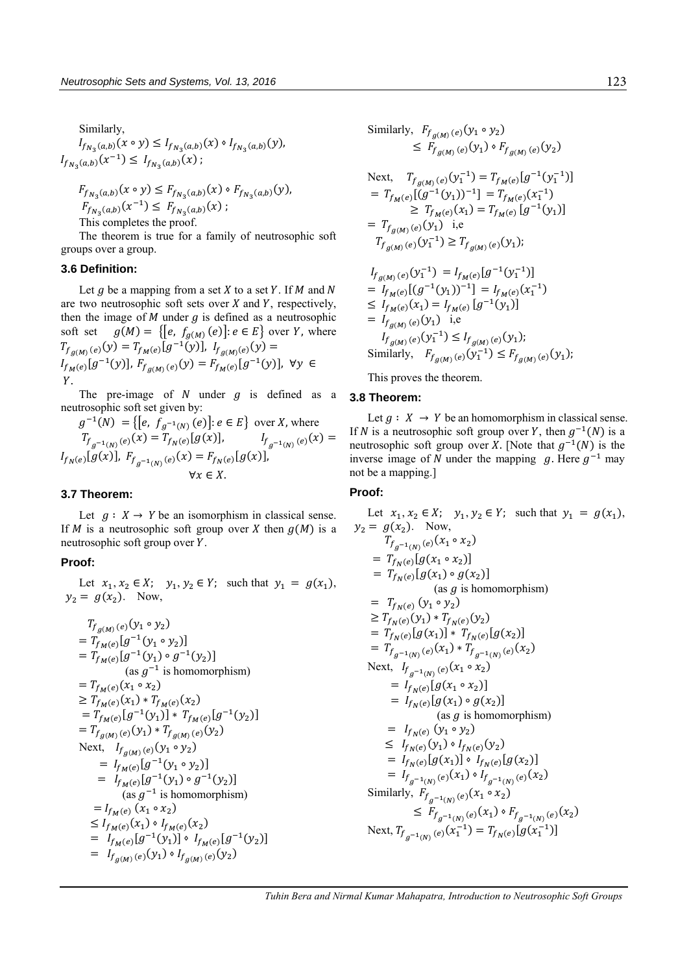Similarly,  $I_{f_{N_3}(a,b)}(x \circ y) \leq I_{f_{N_3}(a,b)}(x) \circ I_{f_{N_3}(a,b)}(y)$  $I_{f_{N_3}(a,b)}(x^{-1}) \leq I_{f_{N_3}(a,b)}(x)$ ;

$$
F_{f_{N_3}(a,b)}(x \circ y) \le F_{f_{N_3}(a,b)}(x) \circ F_{f_{N_3}(a,b)}(y),
$$
  
\n
$$
F_{f_{N_3}(a,b)}(x^{-1}) \le F_{f_{N_3}(a,b)}(x);
$$
  
\nThis completes the proof.

The theorem is true for a family of neutrosophic soft groups over a group.

#### **3.6 Definition:**

Let  $g$  be a mapping from a set  $X$  to a set  $Y$ . If  $M$  and  $N$ are two neutrosophic soft sets over  $X$  and  $Y$ , respectively, then the image of  $M$  under  $g$  is defined as a neutrosophic soft set  $g(M) = \{ [e, f_{g(M)}(e)] : e \in E \}$  over Y, where  $T_{f_{g(M)}(e)}(y) = T_{f_M(e)}[g^{-1}(y)], I_{f_{g(M)}(e)}(y) =$  $I_{f_{M}(e)}[g^{-1}(y)], F_{f_{g(M)}(e)}(y) = F_{f_{M}(e)}[g^{-1}(y)], \forall y \in$ Y.

The pre-image of  $N$  under  $q$  is defined as a neutrosophic soft set given by:

$$
g^{-1}(N) = \{ [e, f_{g^{-1}(N)}(e)] : e \in E \} \text{ over } X \text{, where}
$$
  
\n
$$
T_{f_{g^{-1}(N)}(e)}(x) = T_{f_N(e)}[g(x)], \qquad I_{f_{g^{-1}(N)}(e)}(x) = I_{f_N(e)}[g(x)],
$$
  
\n
$$
F_{f_N(e)}[g(x)], F_{f_{g^{-1}(N)}(e)}(x) = F_{f_N(e)}[g(x)],
$$
  
\n
$$
\forall x \in X.
$$

## **3.7 Theorem:**

Let  $q : X \to Y$  be an isomorphism in classical sense. If M is a neutrosophic soft group over X then  $q(M)$  is a neutrosophic soft group over Y.

## **Proof:**

Let  $x_1, x_2 \in X$ ;  $y_1, y_2 \in Y$ ; such that  $y_1 = g(x_1)$ ,  $y_2 = g(x_2)$ . Now,

$$
T_{f_{g(M)}(e)}(y_1 \circ y_2)
$$
  
=  $T_{f_{M}(e)}[g^{-1}(y_1 \circ y_2)]$   
=  $T_{f_{M}(e)}[g^{-1}(y_1) \circ g^{-1}(y_2)]$   
(as  $g^{-1}$  is homomorphism)  
=  $T_{f_{M}(e)}(x_1 \circ x_2)$   
 $\geq T_{f_{M}(e)}(x_1) * T_{f_{M}(e)}(x_2)$   
=  $T_{f_{M}(e)}[g^{-1}(y_1)] * T_{f_{M}(e)}[g^{-1}(y_2)]$   
=  $T_{f_{g(M)}(e)}(y_1) * T_{f_{g(M)}(e)}(y_2)$   
Next,  $I_{f_{g(M)}(e)}(y_1 \circ y_2)$   
=  $I_{f_{M}(e)}[g^{-1}(y_1 \circ y_2)]$   
=  $I_{f_{M}(e)}[g^{-1}(y_1) \circ g^{-1}(y_2)]$   
(as  $g^{-1}$  is homomorphism)  
=  $I_{f_{M}(e)}(x_1 \circ x_2)$   
 $\leq I_{f_{M}(e)}(x_1) * I_{f_{M}(e)}(x_2)$   
=  $I_{f_{M}(e)}[g^{-1}(y_1)] * I_{f_{M}(e)}[g^{-1}(y_2)]$   
=  $I_{f_{g(M)}(e)}(y_1) * I_{f_{g(M)}(e)}(y_2)$ 

Similarly, 
$$
F_{f_{g(M)}(e)}(y_1 \circ y_2)
$$
  
\n $\leq F_{f_{g(M)}(e)}(y_1) \circ F_{f_{g(M)}(e)}(y_2)$   
\nNext,  $T_{f_{g(M)}(e)}(y_1^{-1}) = T_{f_M(e)}[g^{-1}(y_1^{-1})]$   
\n $= T_{f_M(e)}[(g^{-1}(y_1))^{-1}] = T_{f_M(e)}(x_1^{-1})$   
\n $\geq T_{f_M(e)}(x_1) = T_{f_M(e)}[g^{-1}(y_1)]$   
\n $= T_{f_{g(M)}(e)}(y_1)$  i.e  
\n $T_{f_{g(M)}(e)}(y_1^{-1}) \geq T_{f_{g(M)}(e)}(y_1)$ ;  
\n $I_{f_{g(M)}(e)}(y_1^{-1}) = I_{f_M(e)}[g^{-1}(y_1^{-1})]$ 

$$
I_{g(M)}(e) \cup 1 \longrightarrow I_{M}(e) \cup 1 \longrightarrow I_{M}(e) \cup 1 \longrightarrow I_{M}(e) \cup 1 \longrightarrow I_{M}(e) \cup 1 \longrightarrow I_{M}(e) \cup 1 \longrightarrow I_{f_{M}(e)} \cup (x_{1}^{-1})
$$
  
\n
$$
\leq I_{f_{M}(e)}(x_{1}) = I_{f_{M}(e)} [g^{-1}(y_{1})]
$$
  
\n
$$
= I_{f_{g(M)}(e)}(y_{1}) \quad i.e
$$
  
\n
$$
I_{f_{g(M)}(e)}(y_{1}^{-1}) \leq I_{f_{g(M)}(e)}(y_{1});
$$
  
\nSimilarly,  $F_{f_{g(M)}(e)}(y_{1}^{-1}) \leq F_{f_{g(M)}(e)}(y_{1});$ 

This proves the theorem.

#### **3.8 Theorem:**

Let  $g : X \to Y$  be an homomorphism in classical sense. If N is a neutrosophic soft group over Y, then  $g^{-1}(N)$  is a neutrosophic soft group over X. [Note that  $g^{-1}(N)$  is the inverse image of N under the mapping g. Here  $g^{-1}$  may not be a mapping.]

#### **Proof:**

Let  $x_1, x_2 \in X$ ;  $y_1, y_2 \in Y$ ; such that  $y_1 = g(x_1)$ ,  $y_2 = g(x_2)$ . Now,  $T_{f_{g^{-1}(N)}(e)}(x_1 \circ x_2)$  $= T_{f_N(e)}[g(x_1 \circ x_2)]$  $= T_{f_N(e)}[g(x_1) \circ g(x_2)]$ (as  $g$  is homomorphism)  $= T_{f_N(e)} (y_1 \circ y_2)$  $\geq T_{f_N(e)}(y_1) * T_{f_N(e)}(y_2)$  $= T_{f_N(e)}[g(x_1)] * T_{f_N(e)}[g(x_2)]$  $=\; T_{f_{g^{-1}(N)}(e)}(x_1) * T_{f_{g^{-1}(N)}(e)}(x_2)$ Next,  $I_{f_{g^{-1}(N)}(e)}(x_1 \circ x_2)$  $= I_{f_N(e)}[g(x_1 \circ x_2)]$  $= I_{f_N(e)}[g(x_1) \circ g(x_2)]$ (as  $g$  is homomorphism)  $= I_{f_N(e)} (y_1 \circ y_2)$  $\leq I_{f_N(e)}(y_1) \circ I_{f_N(e)}(y_2)$  $= I_{f_N(e)}[g(x_1)] \cdot I_{f_N(e)}[g(x_2)]$ =  $I_{f_{g^{-1}(N)}(e)}(x_1) \circ I_{f_{g^{-1}(N)}(e)}(x_2)$ Similarly,  $F_{f_{g^{-1}(N)}(e)}(x_1 \circ x_2)$  $\leq F_{f_{g^{-1}(N)}(e)}(x_1) \cdot F_{f_{g^{-1}(N)}(e)}(x_2)$ Next,  $T_{f_{g^{-1}(N)}(e)}(x_1^{-1}) = T_{f_N(e)}[g(x_1^{-1})]$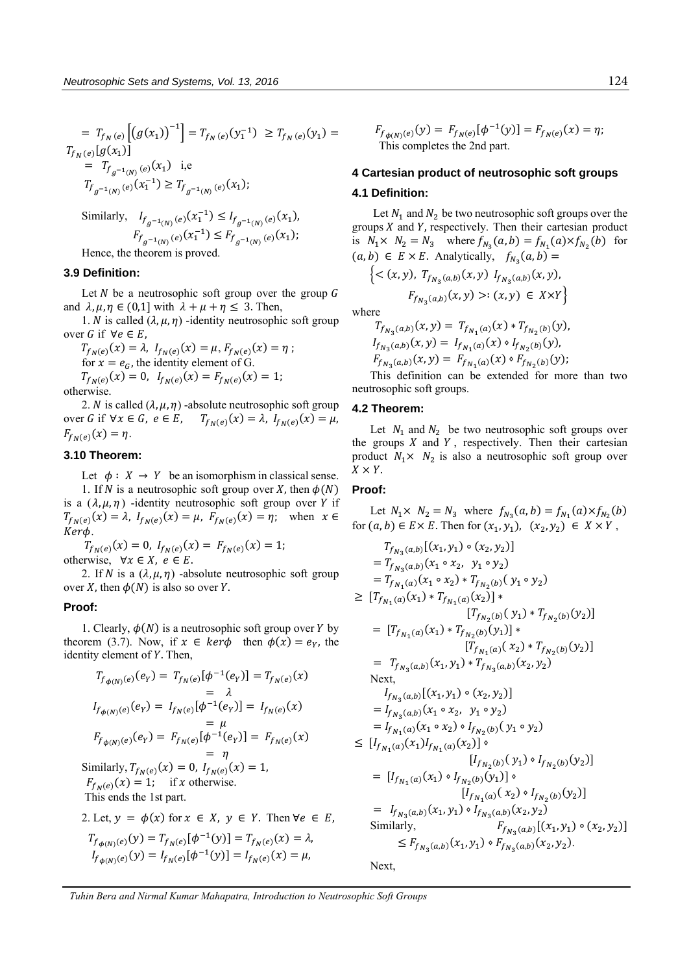$$
= T_{f_N(e)} [(g(x_1))^{-1}] = T_{f_N(e)} (y_1^{-1}) \ge T_{f_N(e)} (y_1) =
$$
  
\n
$$
T_{f_N(e)} [g(x_1)]
$$
  
\n
$$
= T_{f_{g^{-1}(N)}(e)} (x_1) \text{ i.e}
$$
  
\n
$$
T_{f_{g^{-1}(N)}(e)} (x_1^{-1}) \ge T_{f_{g^{-1}(N)}(e)} (x_1);
$$

Similarly,  $I_{f_{g^{-1}(N)}(e)}(x_1^{-1}) \leq I_{f_{g^{-1}(N)}(e)}(x_1)$ ,  $F_{f_{g^{-1}(N)}(e)}(x_1^{-1}) \leq F_{f_{g^{-1}(N)}(e)}(x_1);$ 

Hence, the theorem is proved.

## **3.9 Definition:**

Let  $N$  be a neutrosophic soft group over the group  $G$ and  $\lambda, \mu, \eta \in (0,1]$  with  $\lambda + \mu + \eta \leq 3$ . Then,

1. *N* is called  $(\lambda, \mu, \eta)$  -identity neutrosophic soft group over G if  $\forall e \in E$ ,

$$
T_{f_N(e)}(x) = \lambda
$$
,  $I_{f_N(e)}(x) = \mu$ ,  $F_{f_N(e)}(x) = \eta$ ;  
for  $x = e_G$ , the identity element of G.  
 $T_{f_N(e)}(x) = 0$ ,  $I_{f_N(e)}(x) = F_{f_N(e)}(x) = 1$ ;

otherwise.

2. *N* is called  $(\lambda, \mu, \eta)$  -absolute neutrosophic soft group over G if  $\forall x \in G, e \in E$ ,  $T_{f_N(e)}(x) = \lambda$ ,  $I_{f_N(e)}(x) = \mu$ ,  $F_{f_N(e)}(x) = \eta.$ 

## **3.10 Theorem:**

Let  $\phi: X \to Y$  be an isomorphism in classical sense. 1. If N is a neutrosophic soft group over X, then  $\phi(N)$ is a  $(\lambda, \mu, \eta)$  -identity neutrosophic soft group over Y if  $T_{f_N(e)}(x) = \lambda$ ,  $I_{f_N(e)}(x) = \mu$ ,  $F_{f_N(e)}(x) = \eta$ ; when  $x \in$ Kerф.

 $T_{f_N(e)}(x) = 0, I_{f_N(e)}(x) = F_{f_N(e)}(x) = 1;$ otherwise,  $\forall x \in X, e \in E$ .

2. If N is a  $(\lambda, \mu, \eta)$  -absolute neutrosophic soft group over X, then  $\phi(N)$  is also so over Y.

#### **Proof:**

1. Clearly,  $\phi(N)$  is a neutrosophic soft group over Y by theorem (3.7). Now, if  $x \in \text{ker}\phi$  then  $\phi(x) = e_y$ , the identity element of Y. Then,

$$
T_{f_{\phi(N)}(e)}(e_Y) = T_{f_N(e)}[\phi^{-1}(e_Y)] = T_{f_N(e)}(x)
$$
  
\n
$$
= \lambda
$$
  
\n
$$
I_{f_{\phi(N)}(e)}(e_Y) = I_{f_N(e)}[\phi^{-1}(e_Y)] = I_{f_N(e)}(x)
$$
  
\n
$$
= \mu
$$
  
\n
$$
F_{f_{\phi(N)}(e)}(e_Y) = F_{f_N(e)}[\phi^{-1}(e_Y)] = F_{f_N(e)}(x)
$$
  
\n
$$
= \eta
$$
  
\nSimilarly,  $T_{f_N(e)}(x) = 0$ ,  $I_{f_N(e)}(x) = 1$ ,  
\n $F_{f_N(e)}(x) = 1$ ; if  $x$  otherwise.  
\nThis ends the 1st part.

2. Let, 
$$
y = \phi(x)
$$
 for  $x \in X$ ,  $y \in Y$ . Then  $\forall e \in E$ ,  
\n
$$
T_{f_{\phi(N)}(e)}(y) = T_{f_N(e)}[\phi^{-1}(y)] = T_{f_N(e)}(x) = \lambda,
$$
\n
$$
I_{f_{\phi(N)}(e)}(y) = I_{f_N(e)}[\phi^{-1}(y)] = I_{f_N(e)}(x) = \mu,
$$

 $F_{f_{\phi(N)}(e)}(y) = F_{f_N(e)}[\phi^{-1}(y)] = F_{f_N(e)}(x) = \eta;$ This completes the 2nd part.

# **4 Cartesian product of neutrosophic soft groups**

## **4.1 Definition:**

Let  $N_1$  and  $N_2$  be two neutrosophic soft groups over the groups  $X$  and  $Y$ , respectively. Then their cartesian product is  $N_1 \times N_2 = N_3$  where  $f_{N_3}(a, b) = f_{N_1}(a) \times f_{N_2}(b)$  for  $(a, b) \in E \times E$ . Analytically,  $f_{N_3}(a, b) =$ 

$$
\{ \langle (x, y), T_{f_{N_3}(a,b)}(x, y) I_{f_{N_3}(a,b)}(x, y),
$$
  

$$
F_{f_{N_3}(a,b)}(x, y) >: (x, y) \in X \times Y \}
$$

where

$$
T_{f_{N_3}(a,b)}(x,y) = T_{f_{N_1}(a)}(x) * T_{f_{N_2}(b)}(y),
$$
  
\n
$$
I_{f_{N_3}(a,b)}(x,y) = I_{f_{N_1}(a)}(x) \circ I_{f_{N_2}(b)}(y),
$$
  
\n
$$
F_{f_{N_3}(a,b)}(x,y) = F_{f_{N_1}(a)}(x) \circ F_{f_{N_2}(b)}(y);
$$

This definition can be extended for more than two neutrosophic soft groups.

#### **4.2 Theorem:**

Let  $N_1$  and  $N_2$  be two neutrosophic soft groups over the groups  $X$  and  $Y$ , respectively. Then their cartesian product  $N_1 \times N_2$  is also a neutrosophic soft group over  $X \times Y$ .

## **Proof:**

Let  $N_1 \times N_2 = N_3$  where  $f_{N_3}(a, b) = f_{N_1}(a) \times f_{N_2}(b)$ for  $(a, b) \in E \times E$ . Then for  $(x_1, y_1)$ ,  $(x_2, y_2) \in X \times Y$ ,

$$
T_{f_{N_3}(a,b)}[(x_1, y_1) \circ (x_2, y_2)]
$$
  
\n
$$
= T_{f_{N_3}(a,b)}(x_1 \circ x_2, y_1 \circ y_2)
$$
  
\n
$$
= T_{f_{N_1}(a)}(x_1 \circ x_2) * T_{f_{N_2}(b)}(y_1 \circ y_2)
$$
  
\n
$$
\geq [T_{f_{N_1}(a)}(x_1) * T_{f_{N_1}(a)}(x_2)] * [T_{f_{N_2}(b)}(y_1) * T_{f_{N_2}(b)}(y_2)]
$$
  
\n
$$
= [T_{f_{N_1}(a)}(x_1) * T_{f_{N_2}(b)}(y_1)] * [T_{f_{N_1}(a)}(x_2) * T_{f_{N_2}(b)}(y_2)]
$$
  
\n
$$
= T_{f_{N_3}(a,b)}(x_1, y_1) * T_{f_{N_3}(a,b)}(x_2, y_2)
$$
  
\nNext,  
\n
$$
I_{f_{N_3}(a,b)}[(x_1, y_1) \circ (x_2, y_2)]
$$
  
\n
$$
= I_{f_{N_3}(a,b)}[(x_1, y_1) \circ (x_2, y_2)]
$$
  
\n
$$
= I_{f_{N_1}(a)}(x_1 \circ x_2, y_1 \circ y_2)
$$
  
\n
$$
\leq [I_{f_{N_1}(a)}(x_1) I_{f_{N_1}(a)}(x_2)] \circ [I_{f_{N_2}(b)}(y_1) \circ I_{f_{N_2}(b)}(y_2)]
$$
  
\n
$$
= [I_{f_{N_1}(a)}(x_1) \circ I_{f_{N_2}(b)}(y_1)] \circ [I_{f_{N_1}(a)}(x_2) \circ I_{f_{N_2}(b)}(y_2)]
$$
  
\n
$$
= I_{f_{N_3}(a,b)}(x_1, y_1) \circ I_{f_{N_3}(a,b)}(x_2, y_2)
$$
  
\nSimilarly,  
\n
$$
F_{f_{N_3}(a,b)}[(x_1, y_1) \circ F_{f_{N_3}(a,b)}(x_2, y_2).
$$

Next,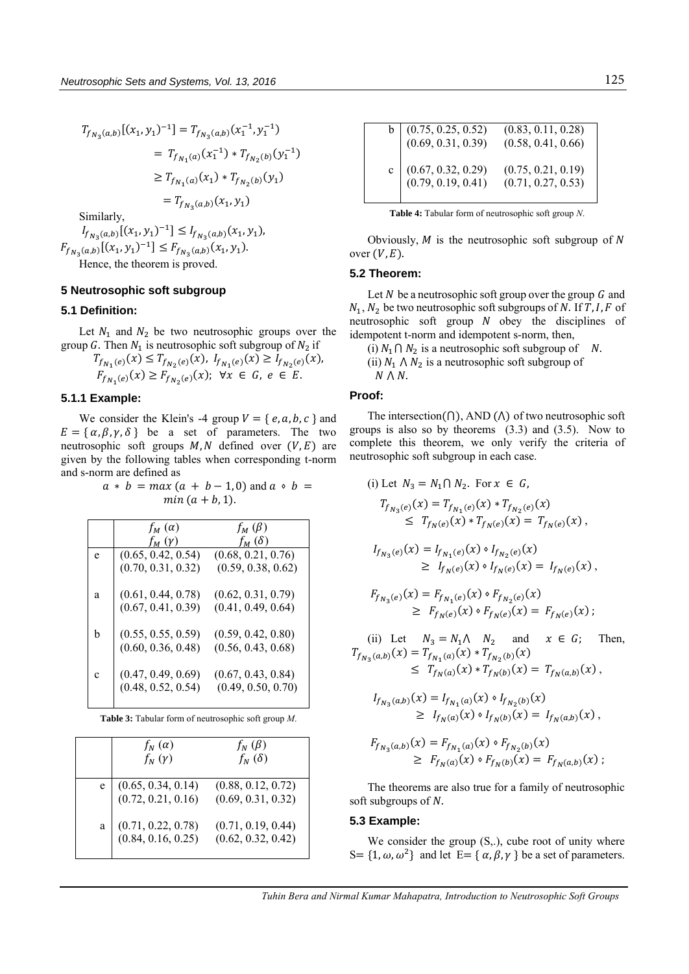$$
T_{f_{N_3}(a,b)}[(x_1, y_1)^{-1}] = T_{f_{N_3}(a,b)}(x_1^{-1}, y_1^{-1})
$$
  
\n
$$
= T_{f_{N_1}(a)}(x_1^{-1}) * T_{f_{N_2}(b)}(y_1^{-1})
$$
  
\n
$$
\geq T_{f_{N_1}(a)}(x_1) * T_{f_{N_2}(b)}(y_1)
$$
  
\n
$$
= T_{f_{N_3}(a,b)}(x_1, y_1)
$$
  
\nSimilarly,  
\n
$$
I_{f_{N_3}(a,b)}[(x_1, y_1)^{-1}] \leq I_{f_{N_3}(a,b)}(x_1, y_1),
$$
  
\n
$$
F_{f_{N_3}(a,b)}[(x_1, y_1)^{-1}] \leq F_{f_{N_3}(a,b)}(x_1, y_1).
$$

Hence, the theorem is proved.

## **5 Neutrosophic soft subgroup**

#### **5.1 Definition:**

Let  $N_1$  and  $N_2$  be two neutrosophic groups over the group G. Then  $N_1$  is neutrosophic soft subgroup of  $N_2$  if

$$
T_{f_{N_1}(e)}(x) \le T_{f_{N_2}(e)}(x), \ I_{f_{N_1}(e)}(x) \ge I_{f_{N_2}(e)}(x),
$$
  

$$
F_{f_{N_1}(e)}(x) \ge F_{f_{N_2}(e)}(x); \ \forall x \in G, \ e \in E.
$$

#### **5.1.1 Example:**

We consider the Klein's -4 group  $V = \{e, a, b, c\}$  and  $E = {\alpha, \beta, \gamma, \delta}$  be a set of parameters. The two neutrosophic soft groups  $M, N$  defined over  $(V, E)$  are given by the following tables when corresponding t-norm and s-norm are defined as

## $a * b = max (a + b - 1, 0)$  and  $a * b =$  $min(a + b, 1).$

|   | $f_M(\alpha)$      | $f_M(\beta)$       |
|---|--------------------|--------------------|
|   | $f_M(y)$           | $f_M(\delta)$      |
| e | (0.65, 0.42, 0.54) | (0.68, 0.21, 0.76) |
|   | (0.70, 0.31, 0.32) | (0.59, 0.38, 0.62) |
|   |                    |                    |
| a | (0.61, 0.44, 0.78) | (0.62, 0.31, 0.79) |
|   | (0.67, 0.41, 0.39) | (0.41, 0.49, 0.64) |
|   |                    |                    |
| h | (0.55, 0.55, 0.59) | (0.59, 0.42, 0.80) |
|   | (0.60, 0.36, 0.48) | (0.56, 0.43, 0.68) |
|   |                    |                    |
| Ċ | (0.47, 0.49, 0.69) | (0.67, 0.43, 0.84) |
|   | (0.48, 0.52, 0.54) | (0.49, 0.50, 0.70) |
|   |                    |                    |

**Table 3:** Tabular form of neutrosophic soft group *M*.

| $f_N(\alpha)$<br>$f_N(y)$                    | $f_N(\beta)$<br>$f_N(\delta)$            |
|----------------------------------------------|------------------------------------------|
| e $(0.65, 0.34, 0.14)$<br>(0.72, 0.21, 0.16) | (0.88, 0.12, 0.72)<br>(0.69, 0.31, 0.32) |
| $(0.71, 0.22, 0.78)$<br>$(0.84, 0.16, 0.25)$ | (0.71, 0.19, 0.44)<br>(0.62, 0.32, 0.42) |

| b $(0.75, 0.25, 0.52)$<br>$(0.69, 0.31, 0.39)$ | (0.83, 0.11, 0.28)<br>(0.58, 0.41, 0.66) |
|------------------------------------------------|------------------------------------------|
| c $(0.67, 0.32, 0.29)$<br>(0.79, 0.19, 0.41)   | (0.75, 0.21, 0.19)<br>(0.71, 0.27, 0.53) |

**Table 4:** Tabular form of neutrosophic soft group *N*.

Obviously,  $M$  is the neutrosophic soft subgroup of  $N$ over  $(V, E)$ .

## **5.2 Theorem:**

Let N be a neutrosophic soft group over the group  $G$  and  $N_1$ ,  $N_2$  be two neutrosophic soft subgroups of N. If T, I, F of neutrosophic soft group  $N$  obey the disciplines of idempotent t-norm and idempotent s-norm, then,

(i)  $N_1 \cap N_2$  is a neutrosophic soft subgroup of N. (ii)  $N_1 \wedge N_2$  is a neutrosophic soft subgroup of  $N \wedge N$ .

#### **Proof:**

The intersection( $\cap$ ), AND ( $\wedge$ ) of two neutrosophic soft groups is also so by theorems (3.3) and (3.5). Now to complete this theorem, we only verify the criteria of neutrosophic soft subgroup in each case.

(i) Let 
$$
N_3 = N_1 \cap N_2
$$
. For  $x \in G$ ,  
\n
$$
T_{f_{N_3}(e)}(x) = T_{f_{N_1}(e)}(x) * T_{f_{N_2}(e)}(x)
$$
\n
$$
\leq T_{f_N(e)}(x) * T_{f_N(e)}(x) = T_{f_N(e)}(x),
$$

$$
I_{f_{N_3}(e)}(x) = I_{f_{N_1}(e)}(x) \circ I_{f_{N_2}(e)}(x)
$$
  
\n
$$
\geq I_{f_N(e)}(x) \circ I_{f_N(e)}(x) = I_{f_N(e)}(x),
$$

$$
F_{f_{N_3}(e)}(x) = F_{f_{N_1}(e)}(x) \circ F_{f_{N_2}(e)}(x)
$$
  
\n
$$
\geq F_{f_N(e)}(x) \circ F_{f_N(e)}(x) = F_{f_N(e)}(x) ;
$$

(ii) Let  $N_3 = N_1 \wedge N_2$  and  $x \in G$ ; Then,  $T_{f_{N_3}(a,b)}(x) = T_{f_{N_1}(a)}(x) * T_{f_{N_2}(b)}(x)$  $\leq T_{f_N(a)}(x) * T_{f_N(b)}(x) = T_{f_N(a,b)}(x),$ 

$$
I_{f_{N_3}(a,b)}(x) = I_{f_{N_1}(a)}(x) \circ I_{f_{N_2}(b)}(x)
$$
  
\n
$$
\geq I_{f_N(a)}(x) \circ I_{f_N(b)}(x) = I_{f_N(a,b)}(x),
$$

$$
F_{f_{N_3}(a,b)}(x) = F_{f_{N_1}(a)}(x) \circ F_{f_{N_2}(b)}(x)
$$
  
\n
$$
\geq F_{f_N(a)}(x) \circ F_{f_N(b)}(x) = F_{f_N(a,b)}(x) ;
$$

The theorems are also true for a family of neutrosophic soft subgroups of  $N$ .

#### **5.3 Example:**

We consider the group  $(S, .)$ , cube root of unity where S = {1,  $\omega$ ,  $\omega^2$ } and let E = { $\alpha$ ,  $\beta$ ,  $\gamma$ } be a set of parameters.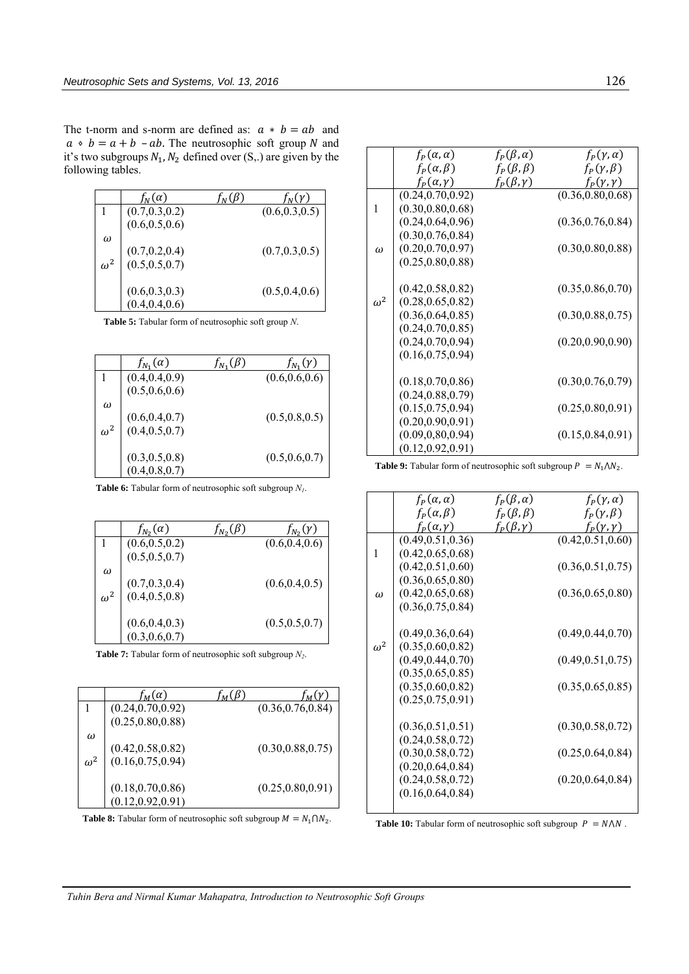The t-norm and s-norm are defined as:  $a * b = ab$  and  $a \circ b = a + b - ab$ . The neutrosophic soft group N and it's two subgroups  $N_1$ ,  $N_2$  defined over  $(S,.)$  are given by the following tables.

|            | $f_N(\alpha)$                          |                 |
|------------|----------------------------------------|-----------------|
|            | (0.7, 0.3, 0.2)                        | (0.6, 0.3, 0.5) |
|            | (0.6, 0.5, 0.6)                        |                 |
| $\omega$   |                                        |                 |
|            | $(0.7, 0.2, 0.4)$<br>$(0.5, 0.5, 0.7)$ | (0.7, 0.3, 0.5) |
| $\omega^2$ |                                        |                 |
|            | (0.6, 0.3, 0.3)                        | (0.5, 0.4, 0.6) |
|            | (0.4, 0.4, 0.6)                        |                 |

**Table 5:** Tabular form of neutrosophic soft group *N*.

|            | $f_{N_1}(\alpha)$                      | $f_{N_1}(\gamma)$ |
|------------|----------------------------------------|-------------------|
|            | (0.4, 0.4, 0.9)                        | (0.6, 0.6, 0.6)   |
|            | (0.5, 0.6, 0.6)                        |                   |
| $\omega$   |                                        | (0.5, 0.8, 0.5)   |
| $\omega^2$ | $(0.6, 0.4, 0.7)$<br>$(0.4, 0.5, 0.7)$ |                   |
|            |                                        |                   |
|            | $(0.3, 0.5, 0.8)$<br>$(0.4, 0.8, 0.7)$ | (0.5, 0.6, 0.7)   |
|            |                                        |                   |

**Table 6:** Tabular form of neutrosophic soft subgroup *N1*.

|            | $f_{N_2}(\alpha)$                         | $f_{N_2}(y)$    |
|------------|-------------------------------------------|-----------------|
|            | $(0.6,\!0.5,\!0.2)\,\, (0.5,\!0.5,\!0.7)$ | (0.6, 0.4, 0.6) |
|            |                                           |                 |
| ω          |                                           |                 |
| $\omega^2$ | $(0.7, 0.3, 0.4)$<br>$(0.4, 0.5, 0.8)$    | (0.6, 0.4, 0.5) |
|            |                                           |                 |
|            | $(0.6, 0.4, 0.3)$<br>$(0.3, 0.6, 0.7)$    | (0.5, 0.5, 0.7) |
|            |                                           |                 |

**Table 7:** Tabular form of neutrosophic soft subgroup *N2*.

|            | $\tau_M(\alpha)$   |                    |
|------------|--------------------|--------------------|
|            | (0.24, 0.70, 0.92) | (0.36, 0.76, 0.84) |
|            | (0.25, 0.80, 0.88) |                    |
| ω          |                    |                    |
|            | (0.42, 0.58, 0.82) | (0.30, 0.88, 0.75) |
| $\omega^2$ | (0.16, 0.75, 0.94) |                    |
|            | (0.18, 0.70, 0.86) | (0.25, 0.80, 0.91) |
|            | (0.12, 0.92, 0.91) |                    |

**Table 8:** Tabular form of neutrosophic soft subgroup  $M = N_1 \cap N_2$ .

|            | $f_P(\alpha,\alpha)$  | $f_P(\beta,\alpha)$  | $f_P(\gamma, \alpha)$ |
|------------|-----------------------|----------------------|-----------------------|
|            | $f_P(\alpha,\beta)$   | $f_P(\beta,\beta)$   | $f_P(\gamma,\beta)$   |
|            | $f_P(\alpha, \gamma)$ | $f_P(\beta, \gamma)$ | $f_P(\gamma,\gamma)$  |
|            | (0.24, 0.70, 0.92)    |                      | (0.36, 0.80, 0.68)    |
| 1          | (0.30, 0.80, 0.68)    |                      |                       |
|            | (0.24, 0.64, 0.96)    |                      | (0.36, 0.76, 0.84)    |
|            | (0.30, 0.76, 0.84)    |                      |                       |
| ω          | (0.20, 0.70, 0.97)    |                      | (0.30, 0.80, 0.88)    |
|            | (0.25, 0.80, 0.88)    |                      |                       |
|            |                       |                      |                       |
|            | (0.42, 0.58, 0.82)    |                      | (0.35, 0.86, 0.70)    |
| $\omega^2$ | (0.28, 0.65, 0.82)    |                      |                       |
|            | (0.36, 0.64, 0.85)    |                      | (0.30, 0.88, 0.75)    |
|            | (0.24, 0.70, 0.85)    |                      |                       |
|            | (0.24, 0.70, 0.94)    |                      | (0.20, 0.90, 0.90)    |
|            | (0.16, 0.75, 0.94)    |                      |                       |
|            |                       |                      |                       |
|            | (0.18, 0.70, 0.86)    |                      | (0.30, 0.76, 0.79)    |
|            | (0.24, 0.88, 0.79)    |                      |                       |
|            | (0.15, 0.75, 0.94)    |                      | (0.25, 0.80, 0.91)    |
|            | (0.20, 0.90, 0.91)    |                      |                       |
|            | (0.09, 0.80, 0.94)    |                      | (0.15, 0.84, 0.91)    |
|            | (0.12, 0.92, 0.91)    |                      |                       |

**Table 9:** Tabular form of neutrosophic soft subgroup  $P = N_1 \Lambda N_2$ .

|            | $f_P(\alpha,\alpha)$ | $f_P(\beta,\alpha)$ | $f_P(\gamma, \alpha)$ |
|------------|----------------------|---------------------|-----------------------|
|            | $f_P(\alpha,\beta)$  | $f_P(\beta,\beta)$  | $f_P(\gamma,\beta)$   |
|            | $f_P(\alpha,\gamma)$ | $f_P(\beta,\gamma)$ | $f_P(\gamma,\gamma)$  |
|            | (0.49, 0.51, 0.36)   |                     | (0.42, 0.51, 0.60)    |
| 1          | (0.42, 0.65, 0.68)   |                     |                       |
|            | (0.42, 0.51, 0.60)   |                     | (0.36, 0.51, 0.75)    |
|            | (0.36, 0.65, 0.80)   |                     |                       |
| ω          | (0.42, 0.65, 0.68)   |                     | (0.36, 0.65, 0.80)    |
|            | (0.36, 0.75, 0.84)   |                     |                       |
|            |                      |                     |                       |
|            | (0.49, 0.36, 0.64)   |                     | (0.49, 0.44, 0.70)    |
| $\omega^2$ | (0.35, 0.60, 0.82)   |                     |                       |
|            | (0.49, 0.44, 0.70)   |                     | (0.49, 0.51, 0.75)    |
|            | (0.35, 0.65, 0.85)   |                     |                       |
|            | (0.35, 0.60, 0.82)   |                     | (0.35, 0.65, 0.85)    |
|            | (0.25, 0.75, 0.91)   |                     |                       |
|            |                      |                     |                       |
|            | (0.36, 0.51, 0.51)   |                     | (0.30, 0.58, 0.72)    |
|            | (0.24, 0.58, 0.72)   |                     |                       |
|            | (0.30, 0.58, 0.72)   |                     | (0.25, 0.64, 0.84)    |
|            | (0.20, 0.64, 0.84)   |                     |                       |
|            | (0.24, 0.58, 0.72)   |                     | (0.20, 0.64, 0.84)    |
|            | (0.16, 0.64, 0.84)   |                     |                       |
|            |                      |                     |                       |

**Table 10:** Tabular form of neutrosophic soft subgroup  $P = N \Lambda N$ .